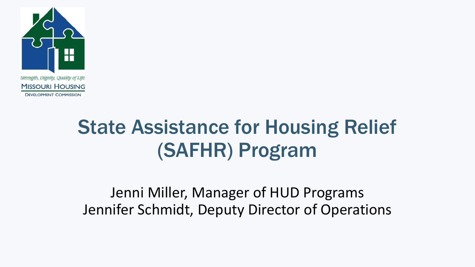

State Assistance for Housing Relief (SAFHR) Program

Jenni Miller, Manager of HUD Programs Jennifer Schmidt, Deputy Director of Operations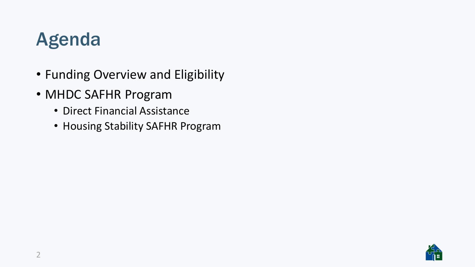### Agenda

- Funding Overview and Eligibility
- MHDC SAFHR Program
	- Direct Financial Assistance
	- Housing Stability SAFHR Program

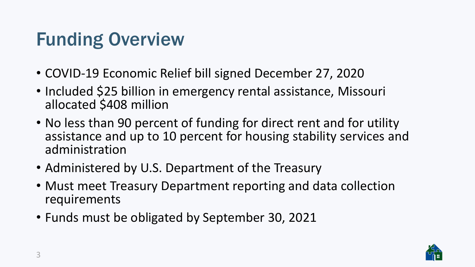### Funding Overview

- COVID-19 Economic Relief bill signed December 27, 2020
- Included \$25 billion in emergency rental assistance, Missouri allocated \$408 million
- No less than 90 percent of funding for direct rent and for utility assistance and up to 10 percent for housing stability services and administration
- Administered by U.S. Department of the Treasury
- Must meet Treasury Department reporting and data collection requirements
- Funds must be obligated by September 30, 2021

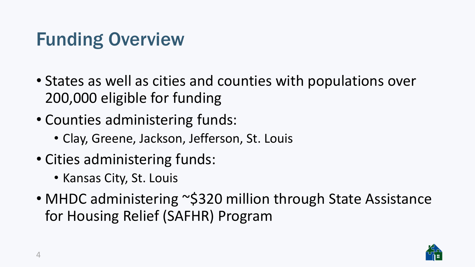### Funding Overview

- States as well as cities and counties with populations over 200,000 eligible for funding
- Counties administering funds:
	- Clay, Greene, Jackson, Jefferson, St. Louis
- Cities administering funds:
	- Kansas City, St. Louis
- MHDC administering ~\$320 million through State Assistance for Housing Relief (SAFHR) Program

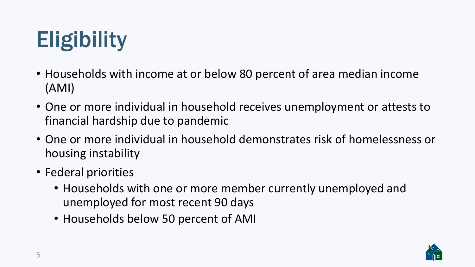# **Eligibility**

- Households with income at or below 80 percent of area median income (AMI)
- One or more individual in household receives unemployment or attests to financial hardship due to pandemic
- One or more individual in household demonstrates risk of homelessness or housing instability
- Federal priorities
	- Households with one or more member currently unemployed and unemployed for most recent 90 days
	- Households below 50 percent of AMI

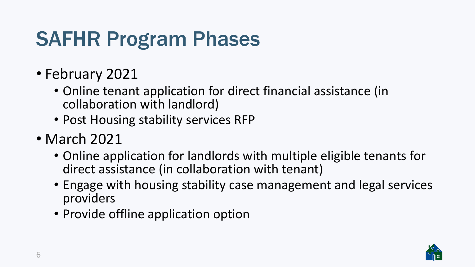## SAFHR Program Phases

- February 2021
	- Online tenant application for direct financial assistance (in collaboration with landlord)
	- Post Housing stability services RFP
- March 2021
	- Online application for landlords with multiple eligible tenants for direct assistance (in collaboration with tenant)
	- Engage with housing stability case management and legal services providers
	- Provide offline application option

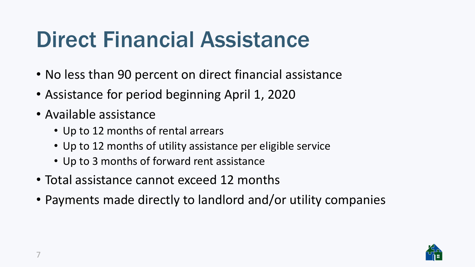# Direct Financial Assistance

- No less than 90 percent on direct financial assistance
- Assistance for period beginning April 1, 2020
- Available assistance
	- Up to 12 months of rental arrears
	- Up to 12 months of utility assistance per eligible service
	- Up to 3 months of forward rent assistance
- Total assistance cannot exceed 12 months
- Payments made directly to landlord and/or utility companies

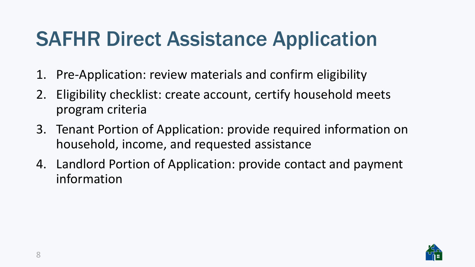## SAFHR Direct Assistance Application

- 1. Pre-Application: review materials and confirm eligibility
- 2. Eligibility checklist: create account, certify household meets program criteria
- 3. Tenant Portion of Application: provide required information on household, income, and requested assistance
- 4. Landlord Portion of Application: provide contact and payment information

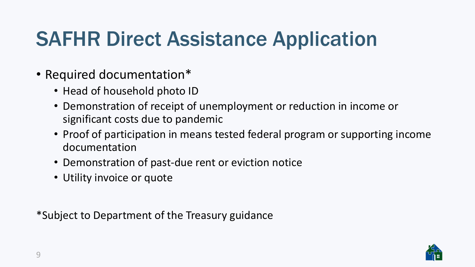## SAFHR Direct Assistance Application

- Required documentation\*
	- Head of household photo ID
	- Demonstration of receipt of unemployment or reduction in income or significant costs due to pandemic
	- Proof of participation in means tested federal program or supporting income documentation
	- Demonstration of past-due rent or eviction notice
	- Utility invoice or quote

\*Subject to Department of the Treasury guidance

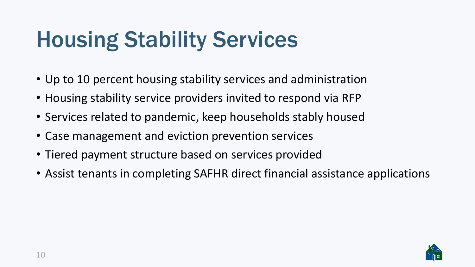# Housing Stability Services

- Up to 10 percent housing stability services and administration
- Housing stability service providers invited to respond via RFP
- Services related to pandemic, keep households stably housed
- Case management and eviction prevention services
- Tiered payment structure based on services provided
- Assist tenants in completing SAFHR direct financial assistance applications